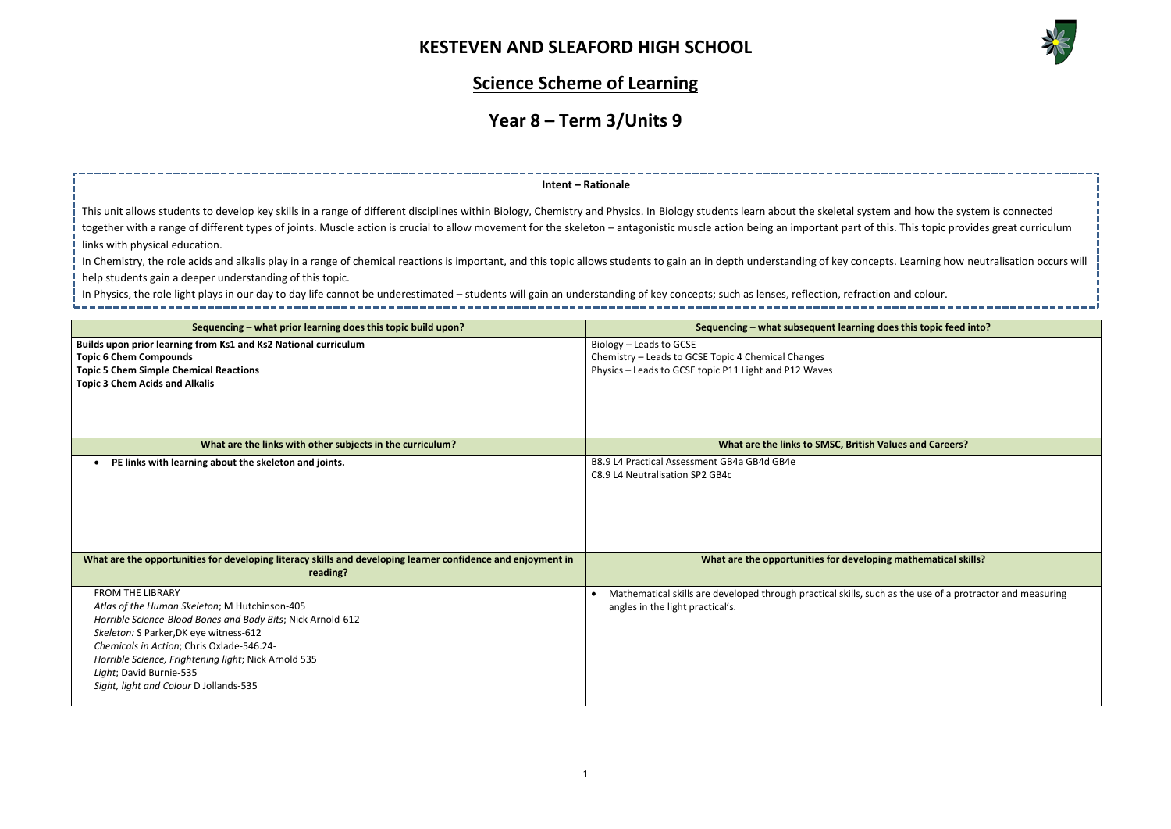

| n and how the system is connected           |
|---------------------------------------------|
|                                             |
| is. This topic provides great curriculum    |
|                                             |
|                                             |
| ts. Learning how neutralisation occurs will |
|                                             |
| and colour.                                 |
|                                             |
|                                             |
| es this topic feed into?                    |
|                                             |
|                                             |
|                                             |
|                                             |
|                                             |
|                                             |
|                                             |
|                                             |
|                                             |
| alues and Careers?                          |
|                                             |
|                                             |
|                                             |
|                                             |
|                                             |
|                                             |
|                                             |
|                                             |
|                                             |
|                                             |
| g mathematical skills?                      |
|                                             |
|                                             |
| as the use of a protractor and measuring    |
|                                             |
|                                             |
|                                             |
|                                             |
|                                             |
|                                             |
|                                             |

#### **Science Scheme of Learning**

# **Year 8 – Term 3/Units 9**

| Sequencing – what prior learning does this topic build upon?                                                             | Sequencing – what subsequent learning does this topic feed into?                                          |
|--------------------------------------------------------------------------------------------------------------------------|-----------------------------------------------------------------------------------------------------------|
|                                                                                                                          |                                                                                                           |
| Builds upon prior learning from Ks1 and Ks2 National curriculum                                                          | Biology - Leads to GCSE                                                                                   |
| <b>Topic 6 Chem Compounds</b>                                                                                            | Chemistry - Leads to GCSE Topic 4 Chemical Changes                                                        |
| <b>Topic 5 Chem Simple Chemical Reactions</b>                                                                            | Physics - Leads to GCSE topic P11 Light and P12 Waves                                                     |
| <b>Topic 3 Chem Acids and Alkalis</b>                                                                                    |                                                                                                           |
|                                                                                                                          |                                                                                                           |
|                                                                                                                          |                                                                                                           |
|                                                                                                                          |                                                                                                           |
| What are the links with other subjects in the curriculum?                                                                | What are the links to SMSC, British Values and Careers?                                                   |
| PE links with learning about the skeleton and joints.                                                                    | B8.9 L4 Practical Assessment GB4a GB4d GB4e                                                               |
|                                                                                                                          | C8.9 L4 Neutralisation SP2 GB4c                                                                           |
|                                                                                                                          |                                                                                                           |
|                                                                                                                          |                                                                                                           |
|                                                                                                                          |                                                                                                           |
|                                                                                                                          |                                                                                                           |
|                                                                                                                          |                                                                                                           |
|                                                                                                                          |                                                                                                           |
| What are the opportunities for developing literacy skills and developing learner confidence and enjoyment in<br>reading? | What are the opportunities for developing mathematical skills?                                            |
|                                                                                                                          |                                                                                                           |
| <b>FROM THE LIBRARY</b>                                                                                                  | Mathematical skills are developed through practical skills, such as the use of a protractor and measuring |
| Atlas of the Human Skeleton; M Hutchinson-405                                                                            | angles in the light practical's.                                                                          |
| Horrible Science-Blood Bones and Body Bits; Nick Arnold-612                                                              |                                                                                                           |
| Skeleton: S Parker, DK eye witness-612                                                                                   |                                                                                                           |
| Chemicals in Action; Chris Oxlade-546.24-                                                                                |                                                                                                           |
| Horrible Science, Frightening light; Nick Arnold 535                                                                     |                                                                                                           |
| Light; David Burnie-535                                                                                                  |                                                                                                           |
| Sight, light and Colour D Jollands-535                                                                                   |                                                                                                           |
|                                                                                                                          |                                                                                                           |

This unit allows students to develop key skills in a range of different disciplines within Biology, Chemistry and Physics. In Biology students learn about the skeletal system together with a range of different types of joints. Muscle action is crucial to allow movement for the skeleton – antagonistic muscle action being an important part of thi links with physical education.

In Chemistry, the role acids and alkalis play in a range of chemical reactions is important, and this topic allows students to gain an in depth understanding of key concept help students gain a deeper understanding of this topic.

#### **Intent – Rationale**

In Physics, the role light plays in our day to day life cannot be underestimated – students will gain an understanding of key concepts; such as lenses, reflection, refraction and colour.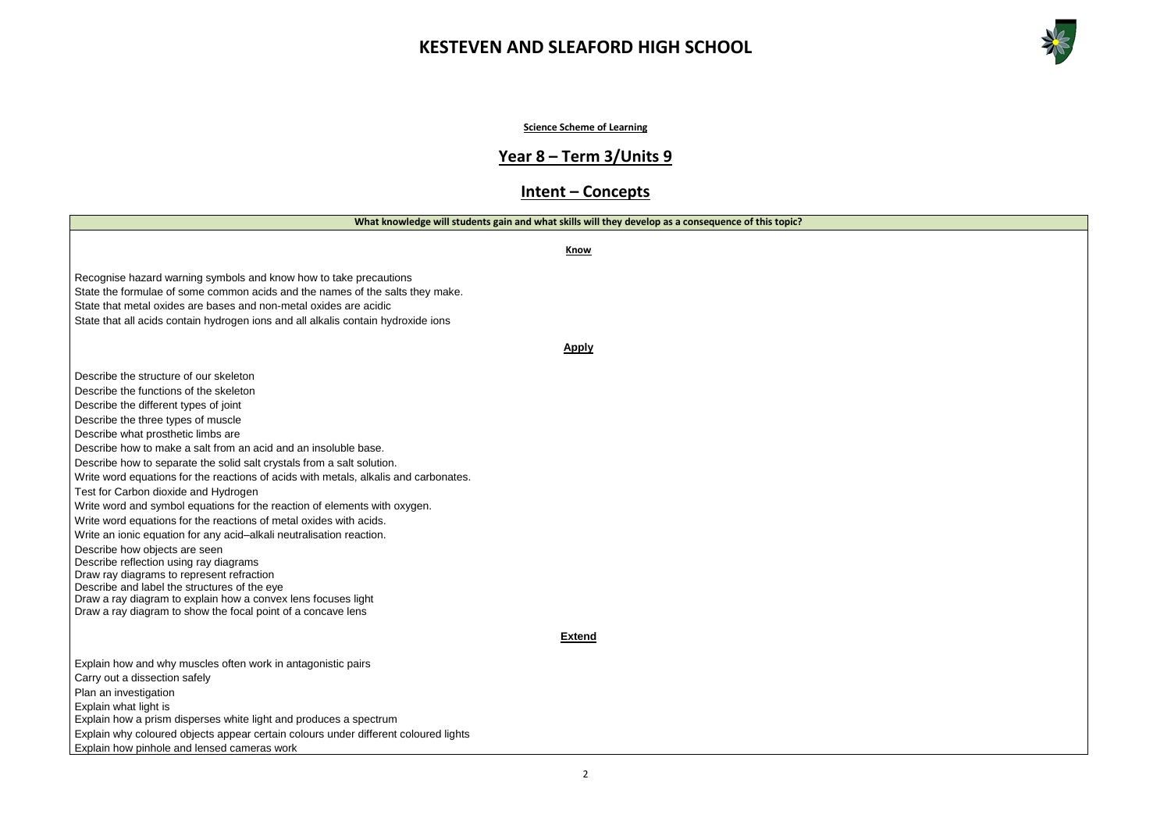



**Science Scheme of Learning**

# **Year 8 – Term 3/Units 9**

#### **Intent – Concepts**

|                                                                                                                                                    | What knowledge will students gain and what skills will they develop as a consequence of this topic? |
|----------------------------------------------------------------------------------------------------------------------------------------------------|-----------------------------------------------------------------------------------------------------|
|                                                                                                                                                    | Know                                                                                                |
| Recognise hazard warning symbols and know how to take precautions<br>State the formulae of some common acids and the names of the salts they make. |                                                                                                     |
| State that metal oxides are bases and non-metal oxides are acidic                                                                                  |                                                                                                     |
| State that all acids contain hydrogen ions and all alkalis contain hydroxide ions                                                                  |                                                                                                     |
|                                                                                                                                                    | <u>Apply</u>                                                                                        |
| Describe the structure of our skeleton                                                                                                             |                                                                                                     |
| Describe the functions of the skeleton                                                                                                             |                                                                                                     |
| Describe the different types of joint                                                                                                              |                                                                                                     |
| Describe the three types of muscle                                                                                                                 |                                                                                                     |
| Describe what prosthetic limbs are                                                                                                                 |                                                                                                     |
| Describe how to make a salt from an acid and an insoluble base.                                                                                    |                                                                                                     |
| Describe how to separate the solid salt crystals from a salt solution.                                                                             |                                                                                                     |
| Write word equations for the reactions of acids with metals, alkalis and carbonates.                                                               |                                                                                                     |
| Test for Carbon dioxide and Hydrogen                                                                                                               |                                                                                                     |
| Write word and symbol equations for the reaction of elements with oxygen.                                                                          |                                                                                                     |
| Write word equations for the reactions of metal oxides with acids.                                                                                 |                                                                                                     |
| Write an ionic equation for any acid-alkali neutralisation reaction.                                                                               |                                                                                                     |
| Describe how objects are seen                                                                                                                      |                                                                                                     |
| Describe reflection using ray diagrams<br>Draw ray diagrams to represent refraction                                                                |                                                                                                     |
| Describe and label the structures of the eye                                                                                                       |                                                                                                     |
| Draw a ray diagram to explain how a convex lens focuses light                                                                                      |                                                                                                     |
| Draw a ray diagram to show the focal point of a concave lens                                                                                       |                                                                                                     |
|                                                                                                                                                    | <b>Extend</b>                                                                                       |
| Explain how and why muscles often work in antagonistic pairs                                                                                       |                                                                                                     |
| Carry out a dissection safely                                                                                                                      |                                                                                                     |
| Plan an investigation                                                                                                                              |                                                                                                     |
| Explain what light is                                                                                                                              |                                                                                                     |
| Explain how a prism disperses white light and produces a spectrum                                                                                  |                                                                                                     |
| Explain why coloured objects appear certain colours under different coloured lights                                                                |                                                                                                     |
| Explain how pinhole and lensed cameras work                                                                                                        |                                                                                                     |
|                                                                                                                                                    |                                                                                                     |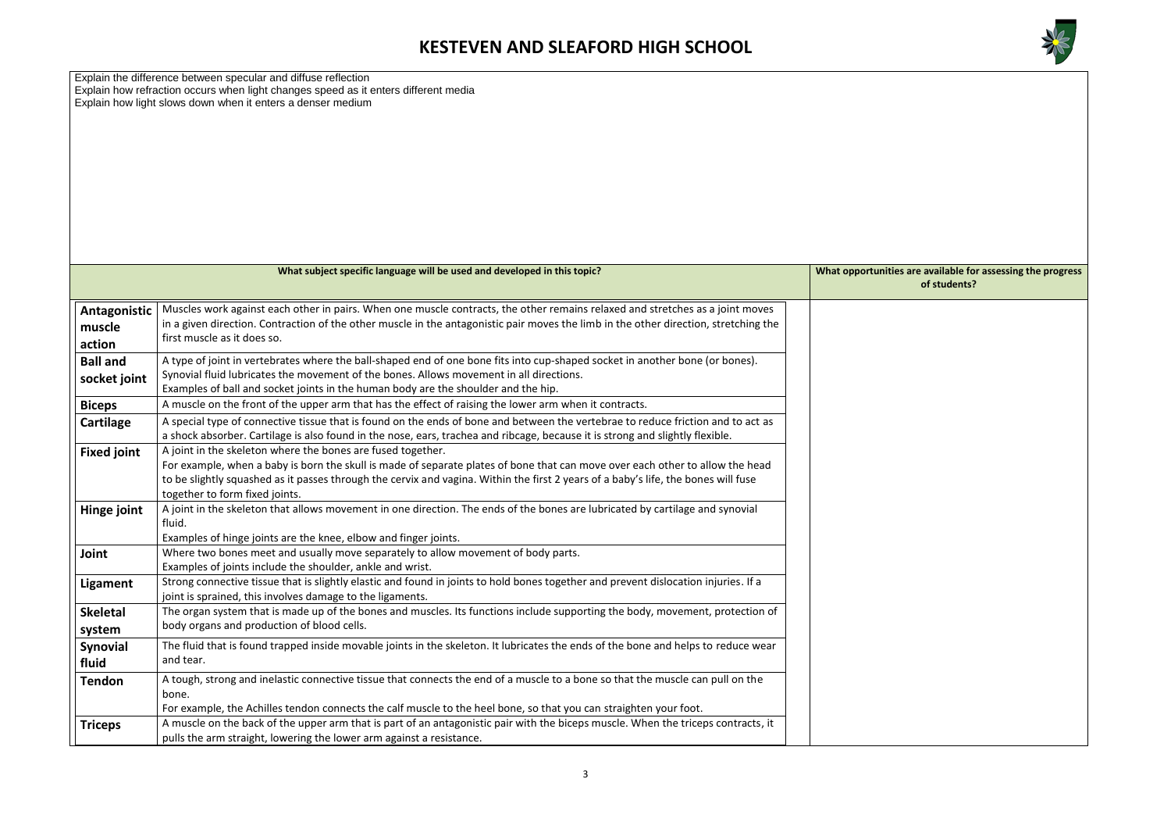

**Mities are available for assessing the progress of students?**

|                                  | Explain the difference between specular and diffuse reflection<br>Explain how refraction occurs when light changes speed as it enters different media<br>Explain how light slows down when it enters a denser medium                                                                                                                                                 |                      |
|----------------------------------|----------------------------------------------------------------------------------------------------------------------------------------------------------------------------------------------------------------------------------------------------------------------------------------------------------------------------------------------------------------------|----------------------|
|                                  | What subject specific language will be used and developed in this topic?                                                                                                                                                                                                                                                                                             | <b>What opportun</b> |
|                                  |                                                                                                                                                                                                                                                                                                                                                                      |                      |
| Antagonistic<br>muscle<br>action | Muscles work against each other in pairs. When one muscle contracts, the other remains relaxed and stretches as a joint moves<br>in a given direction. Contraction of the other muscle in the antagonistic pair moves the limb in the other direction, stretching the<br>first muscle as it does so.                                                                 |                      |
| <b>Ball and</b><br>socket joint  | A type of joint in vertebrates where the ball-shaped end of one bone fits into cup-shaped socket in another bone (or bones).<br>Synovial fluid lubricates the movement of the bones. Allows movement in all directions.<br>Examples of ball and socket joints in the human body are the shoulder and the hip.                                                        |                      |
| <b>Biceps</b>                    | A muscle on the front of the upper arm that has the effect of raising the lower arm when it contracts.                                                                                                                                                                                                                                                               |                      |
| Cartilage                        | A special type of connective tissue that is found on the ends of bone and between the vertebrae to reduce friction and to act as<br>a shock absorber. Cartilage is also found in the nose, ears, trachea and ribcage, because it is strong and slightly flexible.                                                                                                    |                      |
| <b>Fixed joint</b>               | A joint in the skeleton where the bones are fused together.<br>For example, when a baby is born the skull is made of separate plates of bone that can move over each other to allow the head<br>to be slightly squashed as it passes through the cervix and vagina. Within the first 2 years of a baby's life, the bones will fuse<br>together to form fixed joints. |                      |
| Hinge joint                      | A joint in the skeleton that allows movement in one direction. The ends of the bones are lubricated by cartilage and synovial<br>fluid.<br>Examples of hinge joints are the knee, elbow and finger joints.                                                                                                                                                           |                      |
| Joint                            | Where two bones meet and usually move separately to allow movement of body parts.<br>Examples of joints include the shoulder, ankle and wrist.                                                                                                                                                                                                                       |                      |
| <b>Ligament</b>                  | Strong connective tissue that is slightly elastic and found in joints to hold bones together and prevent dislocation injuries. If a<br>joint is sprained, this involves damage to the ligaments.                                                                                                                                                                     |                      |
| <b>Skeletal</b>                  | The organ system that is made up of the bones and muscles. Its functions include supporting the body, movement, protection of                                                                                                                                                                                                                                        |                      |
| system                           | body organs and production of blood cells.                                                                                                                                                                                                                                                                                                                           |                      |
| <b>Synovial</b><br>fluid         | The fluid that is found trapped inside movable joints in the skeleton. It lubricates the ends of the bone and helps to reduce wear<br>and tear.                                                                                                                                                                                                                      |                      |
| <b>Tendon</b>                    | A tough, strong and inelastic connective tissue that connects the end of a muscle to a bone so that the muscle can pull on the<br>bone.<br>For example, the Achilles tendon connects the calf muscle to the heel bone, so that you can straighten your foot.                                                                                                         |                      |
| <b>Triceps</b>                   | A muscle on the back of the upper arm that is part of an antagonistic pair with the biceps muscle. When the triceps contracts, it<br>pulls the arm straight, lowering the lower arm against a resistance.                                                                                                                                                            |                      |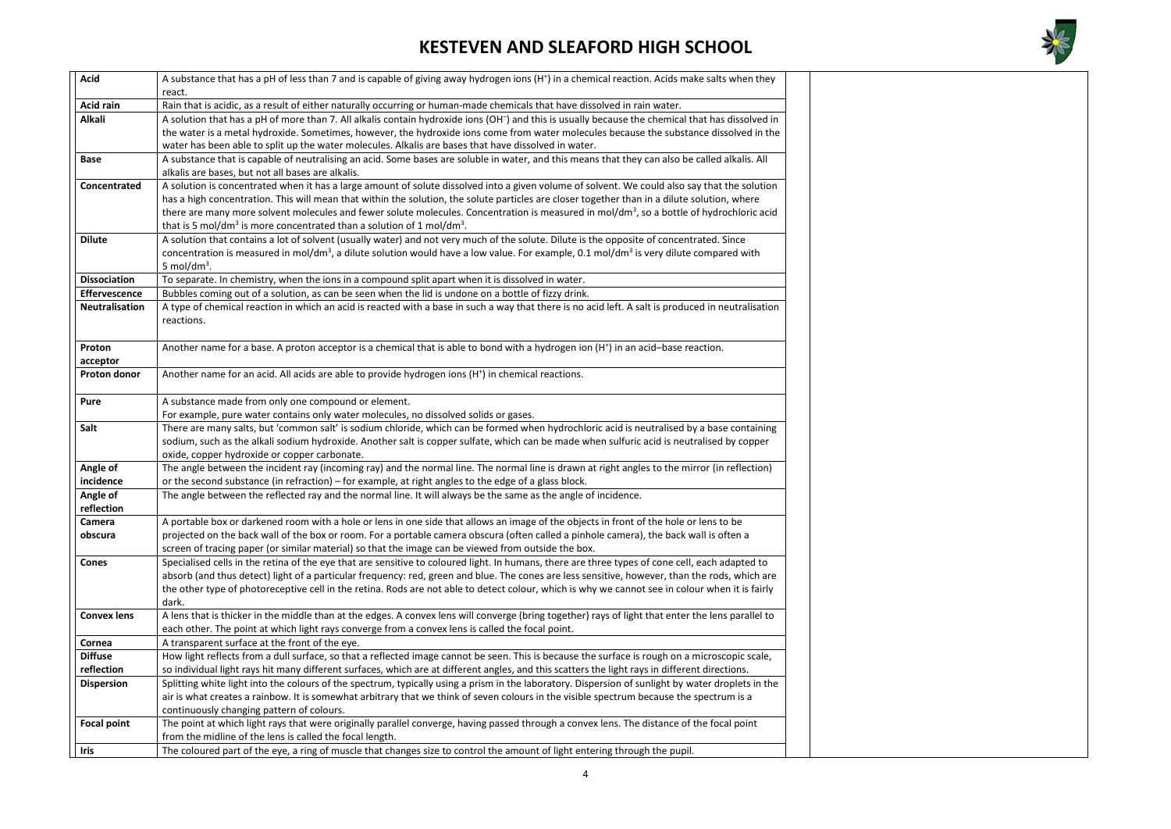

| <b>Acid</b>           | A substance that has a pH of less than 7 and is capable of giving away hydrogen ions (H <sup>+</sup> ) in a chemical reaction. Acids make salts when they                                                                                                                                                                                                                                                                                                                                                                                               |
|-----------------------|---------------------------------------------------------------------------------------------------------------------------------------------------------------------------------------------------------------------------------------------------------------------------------------------------------------------------------------------------------------------------------------------------------------------------------------------------------------------------------------------------------------------------------------------------------|
|                       | react.                                                                                                                                                                                                                                                                                                                                                                                                                                                                                                                                                  |
| <b>Acid rain</b>      | Rain that is acidic, as a result of either naturally occurring or human-made chemicals that have dissolved in rain water.                                                                                                                                                                                                                                                                                                                                                                                                                               |
| <b>Alkali</b>         | A solution that has a pH of more than 7. All alkalis contain hydroxide ions (OH <sup>-</sup> ) and this is usually because the chemical that has dissolved in<br>the water is a metal hydroxide. Sometimes, however, the hydroxide ions come from water molecules because the substance dissolved in the<br>water has been able to split up the water molecules. Alkalis are bases that have dissolved in water.                                                                                                                                        |
| <b>Base</b>           | A substance that is capable of neutralising an acid. Some bases are soluble in water, and this means that they can also be called alkalis. All<br>alkalis are bases, but not all bases are alkalis.                                                                                                                                                                                                                                                                                                                                                     |
| Concentrated          | A solution is concentrated when it has a large amount of solute dissolved into a given volume of solvent. We could also say that the solution<br>has a high concentration. This will mean that within the solution, the solute particles are closer together than in a dilute solution, where<br>there are many more solvent molecules and fewer solute molecules. Concentration is measured in mol/dm <sup>3</sup> , so a bottle of hydrochloric acid<br>that is 5 mol/dm <sup>3</sup> is more concentrated than a solution of 1 mol/dm <sup>3</sup> . |
| <b>Dilute</b>         | A solution that contains a lot of solvent (usually water) and not very much of the solute. Dilute is the opposite of concentrated. Since<br>concentration is measured in mol/dm <sup>3</sup> , a dilute solution would have a low value. For example, 0.1 mol/dm <sup>3</sup> is very dilute compared with<br>5 mol/dm <sup>3</sup> .                                                                                                                                                                                                                   |
| <b>Dissociation</b>   | To separate. In chemistry, when the ions in a compound split apart when it is dissolved in water.                                                                                                                                                                                                                                                                                                                                                                                                                                                       |
| Effervescence         | Bubbles coming out of a solution, as can be seen when the lid is undone on a bottle of fizzy drink.                                                                                                                                                                                                                                                                                                                                                                                                                                                     |
| <b>Neutralisation</b> | A type of chemical reaction in which an acid is reacted with a base in such a way that there is no acid left. A salt is produced in neutralisation<br>reactions.                                                                                                                                                                                                                                                                                                                                                                                        |
| Proton<br>acceptor    | Another name for a base. A proton acceptor is a chemical that is able to bond with a hydrogen ion (H <sup>+</sup> ) in an acid-base reaction.                                                                                                                                                                                                                                                                                                                                                                                                           |
| <b>Proton donor</b>   | Another name for an acid. All acids are able to provide hydrogen ions (H <sup>+</sup> ) in chemical reactions.                                                                                                                                                                                                                                                                                                                                                                                                                                          |
| Pure                  | A substance made from only one compound or element.<br>For example, pure water contains only water molecules, no dissolved solids or gases.                                                                                                                                                                                                                                                                                                                                                                                                             |
| Salt                  | There are many salts, but 'common salt' is sodium chloride, which can be formed when hydrochloric acid is neutralised by a base containing                                                                                                                                                                                                                                                                                                                                                                                                              |
|                       | sodium, such as the alkali sodium hydroxide. Another salt is copper sulfate, which can be made when sulfuric acid is neutralised by copper<br>oxide, copper hydroxide or copper carbonate.                                                                                                                                                                                                                                                                                                                                                              |
| Angle of              | The angle between the incident ray (incoming ray) and the normal line. The normal line is drawn at right angles to the mirror (in reflection)                                                                                                                                                                                                                                                                                                                                                                                                           |
| incidence             | or the second substance (in refraction) - for example, at right angles to the edge of a glass block.                                                                                                                                                                                                                                                                                                                                                                                                                                                    |
| Angle of              | The angle between the reflected ray and the normal line. It will always be the same as the angle of incidence.                                                                                                                                                                                                                                                                                                                                                                                                                                          |
| reflection            |                                                                                                                                                                                                                                                                                                                                                                                                                                                                                                                                                         |
| Camera                | A portable box or darkened room with a hole or lens in one side that allows an image of the objects in front of the hole or lens to be                                                                                                                                                                                                                                                                                                                                                                                                                  |
| obscura               | projected on the back wall of the box or room. For a portable camera obscura (often called a pinhole camera), the back wall is often a<br>screen of tracing paper (or similar material) so that the image can be viewed from outside the box.                                                                                                                                                                                                                                                                                                           |
| <b>Cones</b>          | Specialised cells in the retina of the eye that are sensitive to coloured light. In humans, there are three types of cone cell, each adapted to<br>absorb (and thus detect) light of a particular frequency: red, green and blue. The cones are less sensitive, however, than the rods, which are<br>the other type of photoreceptive cell in the retina. Rods are not able to detect colour, which is why we cannot see in colour when it is fairly<br>dark.                                                                                           |
| <b>Convex lens</b>    | A lens that is thicker in the middle than at the edges. A convex lens will converge (bring together) rays of light that enter the lens parallel to<br>each other. The point at which light rays converge from a convex lens is called the focal point.                                                                                                                                                                                                                                                                                                  |
| Cornea                | A transparent surface at the front of the eye.                                                                                                                                                                                                                                                                                                                                                                                                                                                                                                          |
| <b>Diffuse</b>        | How light reflects from a dull surface, so that a reflected image cannot be seen. This is because the surface is rough on a microscopic scale,                                                                                                                                                                                                                                                                                                                                                                                                          |
| reflection            | so individual light rays hit many different surfaces, which are at different angles, and this scatters the light rays in different directions.                                                                                                                                                                                                                                                                                                                                                                                                          |
| <b>Dispersion</b>     | Splitting white light into the colours of the spectrum, typically using a prism in the laboratory. Dispersion of sunlight by water droplets in the                                                                                                                                                                                                                                                                                                                                                                                                      |
|                       | air is what creates a rainbow. It is somewhat arbitrary that we think of seven colours in the visible spectrum because the spectrum is a                                                                                                                                                                                                                                                                                                                                                                                                                |
|                       | continuously changing pattern of colours.                                                                                                                                                                                                                                                                                                                                                                                                                                                                                                               |
| <b>Focal point</b>    | The point at which light rays that were originally parallel converge, having passed through a convex lens. The distance of the focal point<br>from the midline of the lens is called the focal length.                                                                                                                                                                                                                                                                                                                                                  |
| <b>Iris</b>           | The coloured part of the eye, a ring of muscle that changes size to control the amount of light entering through the pupil.                                                                                                                                                                                                                                                                                                                                                                                                                             |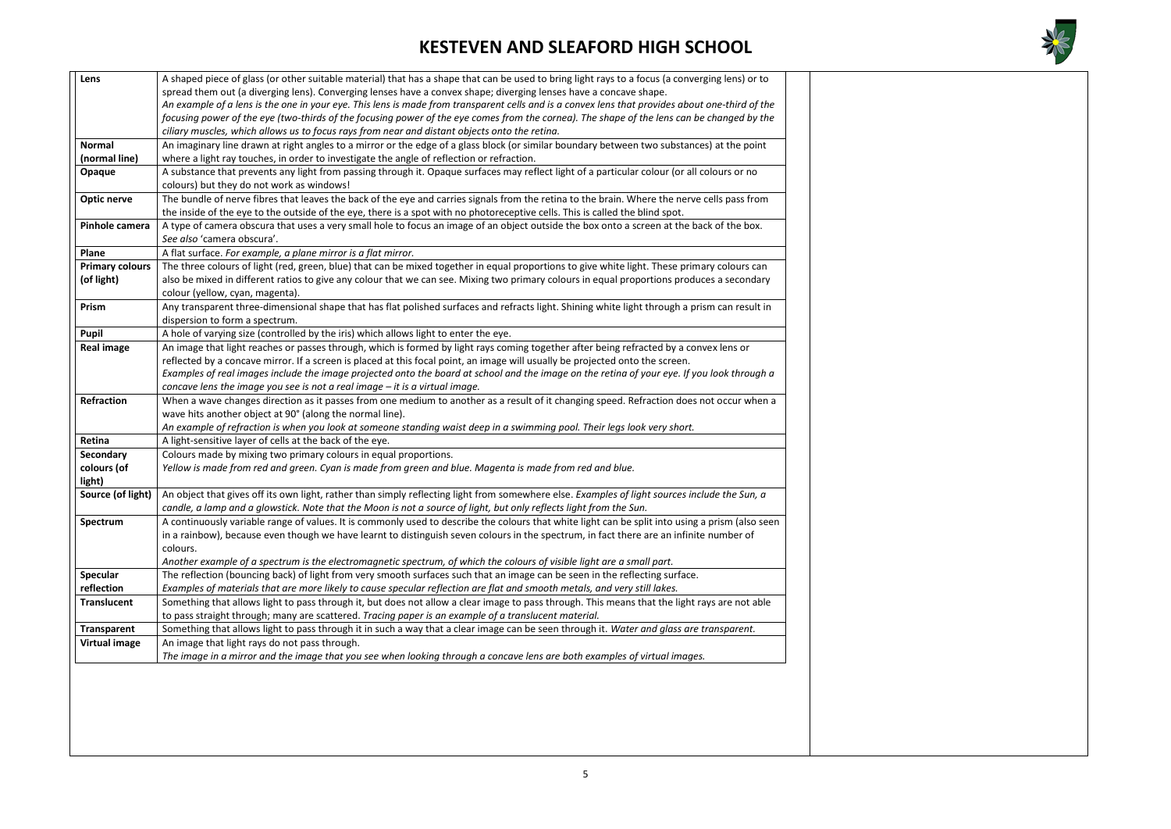

| Lens                   | A shaped piece of glass (or other suitable material) that has a shape that can be used to bring light rays to a focus (a converging lens) or to  |
|------------------------|--------------------------------------------------------------------------------------------------------------------------------------------------|
|                        | spread them out (a diverging lens). Converging lenses have a convex shape; diverging lenses have a concave shape.                                |
|                        | An example of a lens is the one in your eye. This lens is made from transparent cells and is a convex lens that provides about one-third of the  |
|                        | focusing power of the eye (two-thirds of the focusing power of the eye comes from the cornea). The shape of the lens can be changed by the       |
|                        | ciliary muscles, which allows us to focus rays from near and distant objects onto the retina.                                                    |
| <b>Normal</b>          | An imaginary line drawn at right angles to a mirror or the edge of a glass block (or similar boundary between two substances) at the point       |
| (normal line)          | where a light ray touches, in order to investigate the angle of reflection or refraction.                                                        |
| Opaque                 | A substance that prevents any light from passing through it. Opaque surfaces may reflect light of a particular colour (or all colours or no      |
|                        | colours) but they do not work as windows!                                                                                                        |
| Optic nerve            | The bundle of nerve fibres that leaves the back of the eye and carries signals from the retina to the brain. Where the nerve cells pass from     |
|                        | the inside of the eye to the outside of the eye, there is a spot with no photoreceptive cells. This is called the blind spot.                    |
| Pinhole camera         | A type of camera obscura that uses a very small hole to focus an image of an object outside the box onto a screen at the back of the box.        |
|                        | See also 'camera obscura'.                                                                                                                       |
| Plane                  | A flat surface. For example, a plane mirror is a flat mirror.                                                                                    |
| <b>Primary colours</b> | The three colours of light (red, green, blue) that can be mixed together in equal proportions to give white light. These primary colours can     |
| (of light)             | also be mixed in different ratios to give any colour that we can see. Mixing two primary colours in equal proportions produces a secondary       |
|                        | colour (yellow, cyan, magenta).                                                                                                                  |
| Prism                  | Any transparent three-dimensional shape that has flat polished surfaces and refracts light. Shining white light through a prism can result in    |
|                        | dispersion to form a spectrum.                                                                                                                   |
| Pupil                  | A hole of varying size (controlled by the iris) which allows light to enter the eye.                                                             |
| <b>Real image</b>      | An image that light reaches or passes through, which is formed by light rays coming together after being refracted by a convex lens or           |
|                        | reflected by a concave mirror. If a screen is placed at this focal point, an image will usually be projected onto the screen.                    |
|                        | Examples of real images include the image projected onto the board at school and the image on the retina of your eye. If you look through a      |
|                        | concave lens the image you see is not a real image - it is a virtual image.                                                                      |
| Refraction             | When a wave changes direction as it passes from one medium to another as a result of it changing speed. Refraction does not occur when a         |
|                        | wave hits another object at 90° (along the normal line).                                                                                         |
|                        | An example of refraction is when you look at someone standing waist deep in a swimming pool. Their legs look very short.                         |
| Retina                 | A light-sensitive layer of cells at the back of the eye.                                                                                         |
| <b>Secondary</b>       | Colours made by mixing two primary colours in equal proportions.                                                                                 |
| colours (of<br>light)  | Yellow is made from red and green. Cyan is made from green and blue. Magenta is made from red and blue.                                          |
| Source (of light)      | An object that gives off its own light, rather than simply reflecting light from somewhere else. Examples of light sources include the Sun, a    |
|                        | candle, a lamp and a glowstick. Note that the Moon is not a source of light, but only reflects light from the Sun.                               |
| Spectrum               | A continuously variable range of values. It is commonly used to describe the colours that white light can be split into using a prism (also seen |
|                        | in a rainbow), because even though we have learnt to distinguish seven colours in the spectrum, in fact there are an infinite number of          |
|                        | colours.                                                                                                                                         |
|                        | Another example of a spectrum is the electromagnetic spectrum, of which the colours of visible light are a small part.                           |
| <b>Specular</b>        | The reflection (bouncing back) of light from very smooth surfaces such that an image can be seen in the reflecting surface.                      |
| reflection             | Examples of materials that are more likely to cause specular reflection are flat and smooth metals, and very still lakes.                        |
| <b>Translucent</b>     | Something that allows light to pass through it, but does not allow a clear image to pass through. This means that the light rays are not able    |
|                        | to pass straight through; many are scattered. Tracing paper is an example of a translucent material.                                             |
| <b>Transparent</b>     | Something that allows light to pass through it in such a way that a clear image can be seen through it. Water and glass are transparent.         |
| <b>Virtual image</b>   | An image that light rays do not pass through.                                                                                                    |
|                        | The image in a mirror and the image that you see when looking through a concave lens are both examples of virtual images.                        |
|                        |                                                                                                                                                  |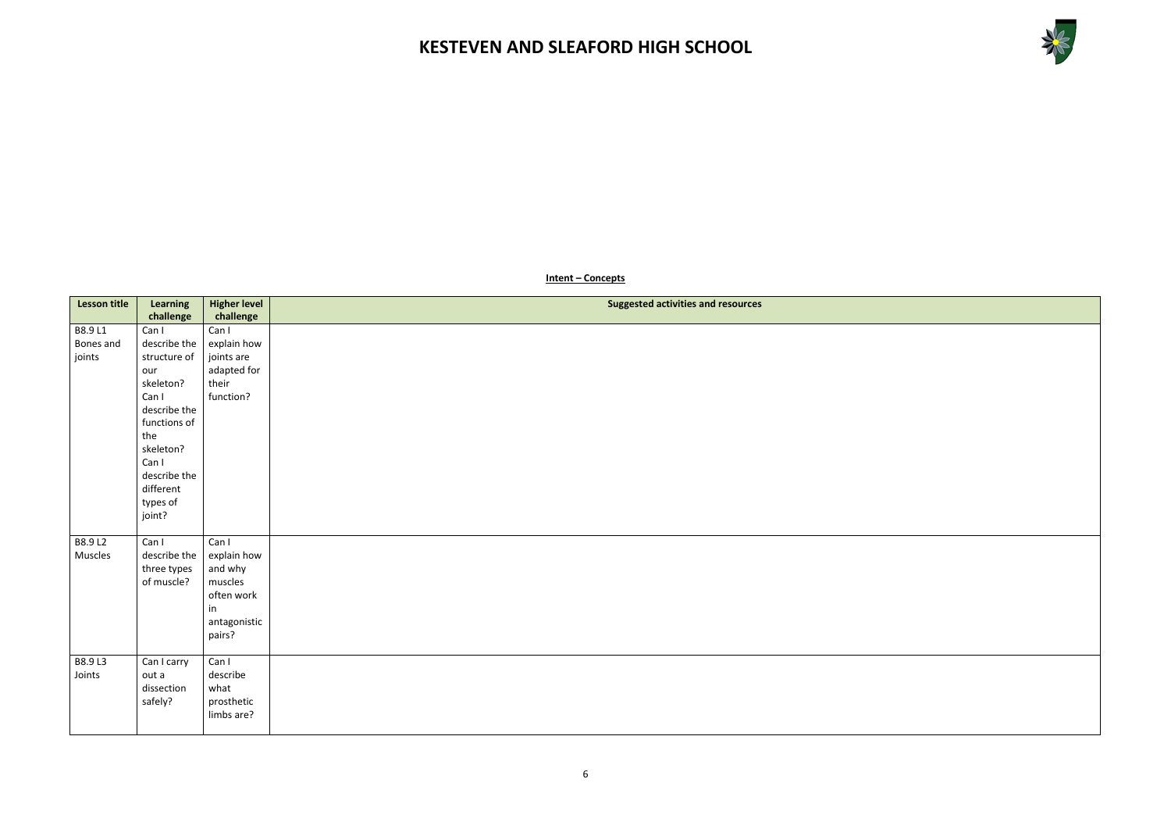



#### **Intent – Concepts**

| <b>Lesson title</b>            | Learning                                                                                                                                                                           | <b>Higher level</b>                                                                      | <b>Suggested activities and resources</b> |
|--------------------------------|------------------------------------------------------------------------------------------------------------------------------------------------------------------------------------|------------------------------------------------------------------------------------------|-------------------------------------------|
|                                | challenge                                                                                                                                                                          | challenge                                                                                |                                           |
| B8.9 L1<br>Bones and<br>joints | Can I<br>describe the<br>structure of<br>our<br>skeleton?<br>Can I<br>describe the<br>functions of<br>the<br>skeleton?<br>Can I<br>describe the<br>different<br>types of<br>joint? | Can I<br>explain how<br>joints are<br>adapted for<br>their<br>function?                  |                                           |
| B8.9 L2<br>Muscles             | Can I<br>describe the<br>three types<br>of muscle?                                                                                                                                 | Can I<br>explain how<br>and why<br>muscles<br>often work<br>in<br>antagonistic<br>pairs? |                                           |
| B8.9 L3<br>Joints              | Can I carry<br>out a<br>dissection<br>safely?                                                                                                                                      | Can I<br>describe<br>what<br>prosthetic<br>limbs are?                                    |                                           |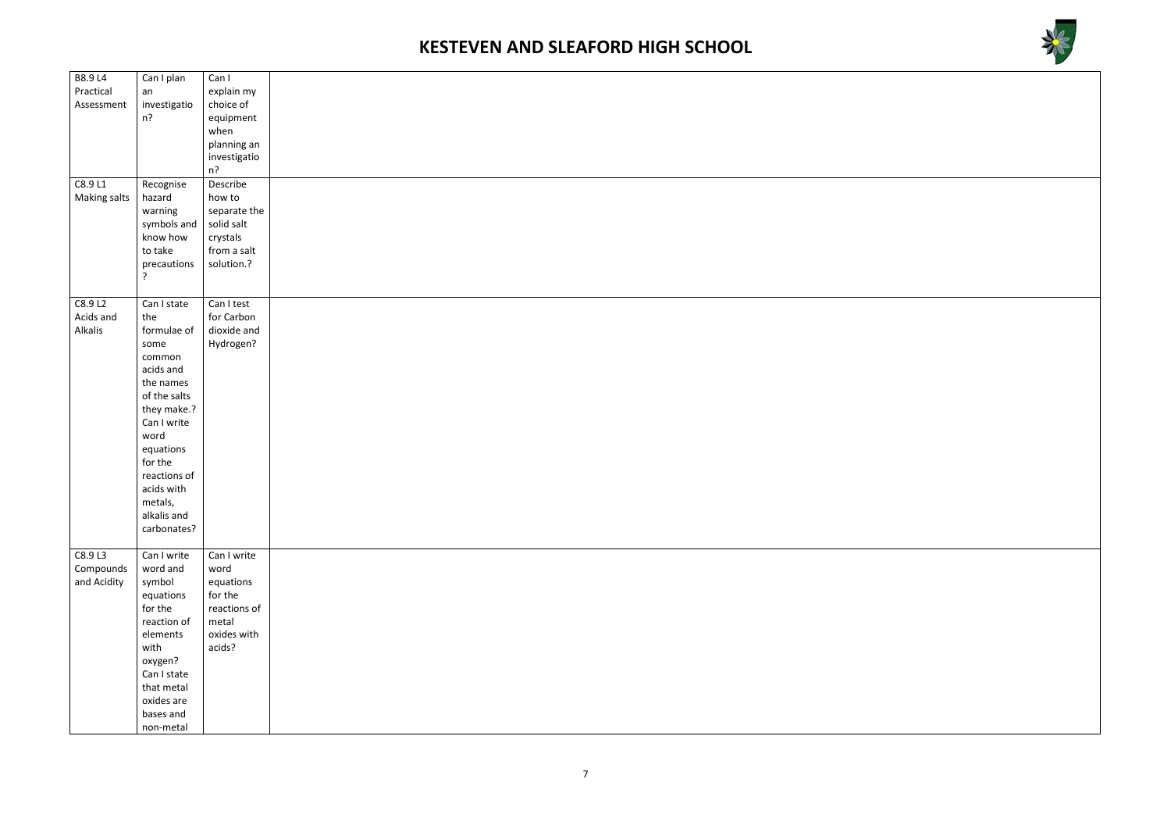



| B8.9 L4      | Can I plan     | Can I        |  |
|--------------|----------------|--------------|--|
| Practical    | an             | explain my   |  |
| Assessment   | investigatio   | choice of    |  |
|              | $n$ ?          | equipment    |  |
|              |                | when         |  |
|              |                | planning an  |  |
|              |                | investigatio |  |
|              |                | n?           |  |
| C8.9 L1      | Recognise      | Describe     |  |
| Making salts | hazard         | how to       |  |
|              | warning        | separate the |  |
|              | symbols and    | solid salt   |  |
|              | know how       | crystals     |  |
|              | to take        | from a salt  |  |
|              | precautions    | solution.?   |  |
|              | $\overline{?}$ |              |  |
|              |                |              |  |
| C8.9 L2      | Can I state    | Can I test   |  |
| Acids and    | the            | for Carbon   |  |
| Alkalis      | formulae of    | dioxide and  |  |
|              | some           | Hydrogen?    |  |
|              | common         |              |  |
|              | acids and      |              |  |
|              | the names      |              |  |
|              | of the salts   |              |  |
|              |                |              |  |
|              | they make.?    |              |  |
|              | Can I write    |              |  |
|              | word           |              |  |
|              | equations      |              |  |
|              | for the        |              |  |
|              | reactions of   |              |  |
|              | acids with     |              |  |
|              | metals,        |              |  |
|              | alkalis and    |              |  |
|              | carbonates?    |              |  |
|              |                |              |  |
| C8.9 L3      | Can I write    | Can I write  |  |
| Compounds    | word and       | word         |  |
| and Acidity  | symbol         | equations    |  |
|              | equations      | for the      |  |
|              | for the        | reactions of |  |
|              | reaction of    | metal        |  |
|              | elements       | oxides with  |  |
|              | with           | acids?       |  |
|              | oxygen?        |              |  |
|              | Can I state    |              |  |
|              | that metal     |              |  |
|              | oxides are     |              |  |
|              | bases and      |              |  |
|              | non-metal      |              |  |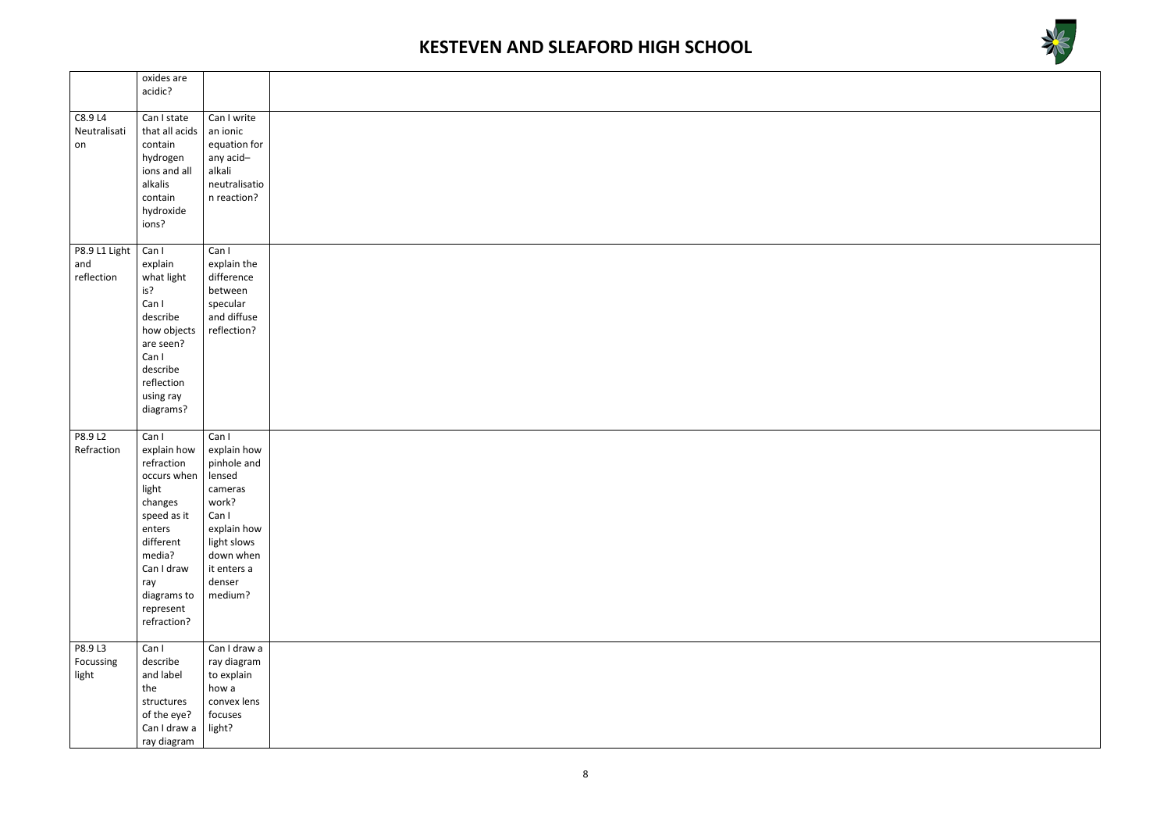



|                                    | oxides are<br>acidic?                                                                                                                                                                 |                                                                                                                                                           |  |
|------------------------------------|---------------------------------------------------------------------------------------------------------------------------------------------------------------------------------------|-----------------------------------------------------------------------------------------------------------------------------------------------------------|--|
| C8.9 L4<br>Neutralisati<br>on      | Can I state<br>that all acids<br>contain<br>hydrogen<br>ions and all<br>alkalis<br>contain<br>hydroxide<br>ions?                                                                      | Can I write<br>an ionic<br>equation for<br>any acid-<br>alkali<br>neutralisatio<br>n reaction?                                                            |  |
| P8.9 L1 Light<br>and<br>reflection | Can I<br>explain<br>what light<br>is?<br>Can I<br>describe<br>how objects<br>are seen?<br>Can I<br>describe<br>reflection<br>using ray<br>diagrams?                                   | Can I<br>explain the<br>difference<br>between<br>specular<br>and diffuse<br>reflection?                                                                   |  |
| P8.9 L2<br>Refraction              | Can I<br>explain how<br>refraction<br>occurs when<br>light<br>changes<br>speed as it<br>enters<br>different<br>media?<br>Can I draw<br>ray<br>diagrams to<br>represent<br>refraction? | Can I<br>explain how<br>pinhole and<br>lensed<br>cameras<br>work?<br>Can I<br>explain how<br>light slows<br>down when<br>it enters a<br>denser<br>medium? |  |
| P8.9 L3<br>Focussing<br>light      | Can I<br>describe<br>and label<br>the<br>structures<br>of the eye?<br>Can I draw a<br>ray diagram                                                                                     | Can I draw a<br>ray diagram<br>to explain<br>how a<br>convex lens<br>focuses<br>light?                                                                    |  |